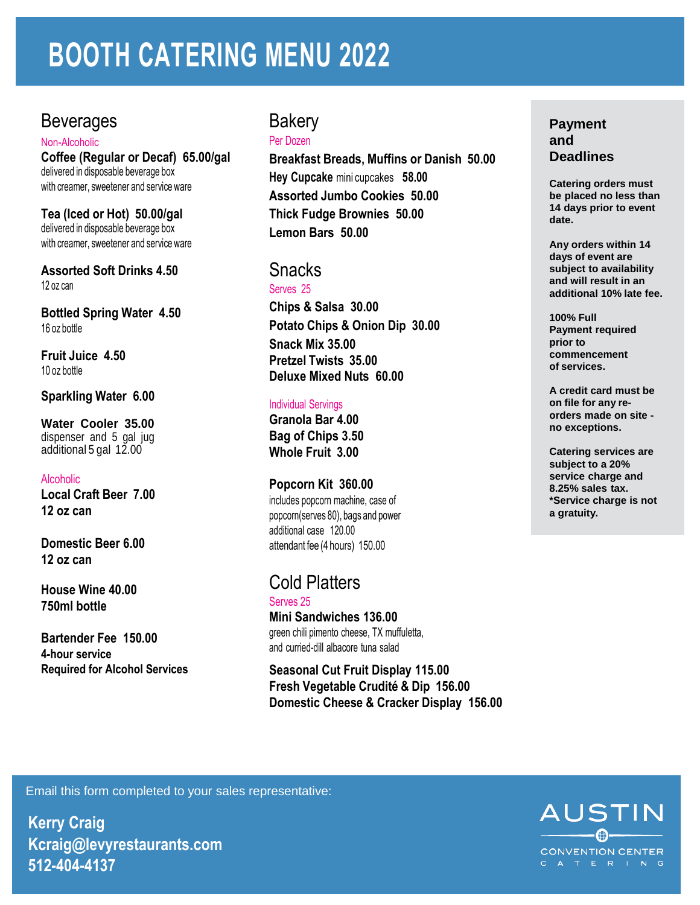# **BOOTH CATERING MENU 2022**

## **Beverages**

Non-Alcoholic **Coffee (Regular or Decaf) 65.00/gal** delivered in disposable beverage box with creamer, sweetener and service ware

**Tea (Iced or Hot) 50.00/gal** delivered in disposable beverage box with creamer, sweetener and service ware

**Assorted Soft Drinks 4.50** 12 oz can

**Bottled Spring Water 4.50** 16 oz bottle

**Fruit Juice 4.50** 10 oz bottle

#### **Sparkling Water 6.00**

**Water Cooler 35.00** dispenser and 5 gal jug additional 5 gal 12.00

#### Alcoholic

**Local Craft Beer 7.00 12 oz can**

**Domestic Beer 6.00 12 oz can**

**House Wine 40.00 750ml bottle**

**Bartender Fee 150.00 4-hour service Required for Alcohol Services**

## **Bakery**

Per Dozen

**Breakfast Breads, Muffins or Danish 50.00 Hey Cupcake** mini cupcakes **58.00 Assorted Jumbo Cookies 50.00 Thick Fudge Brownies 50.00 Lemon Bars 50.00**

#### Snacks Serves 25

**Chips & Salsa 30.00 Potato Chips & Onion Dip 30.00 Snack Mix 35.00 Pretzel Twists 35.00 Deluxe Mixed Nuts 60.00**

#### Individual Servings

**Granola Bar 4.00 Bag of Chips 3.50 Whole Fruit 3.00**

#### **Popcorn Kit 360.00**

includes popcorn machine, case of popcorn(serves 80), bags and power additional case 120.00 attendant fee (4 hours) 150.00

### Cold Platters

Serves 25 **Mini Sandwiches 136.00** green chili pimento cheese, TX muffuletta, and curried-dill albacore tuna salad

**Seasonal Cut Fruit Display 115.00 Fresh Vegetable Crudité & Dip 156.00 Domestic Cheese & Cracker Display 156.00**

#### **Payment and Deadlines**

**Catering orders must be placed no less than 14 days prior to event date.**

**Any orders within 14 days of event are subject to availability and will result in an additional 10% late fee.**

**100% Full Payment required prior to commencement of services.**

**A credit card must be on file for any reorders made on site no exceptions.**

**Catering services are subject to a 20% service charge and 8.25% sales tax. \*Service charge is not a gratuity.**

Email this form completed to your sales representative:

**Kerry Craig Kcraig@levyrestaurants.com 512-404-4137**